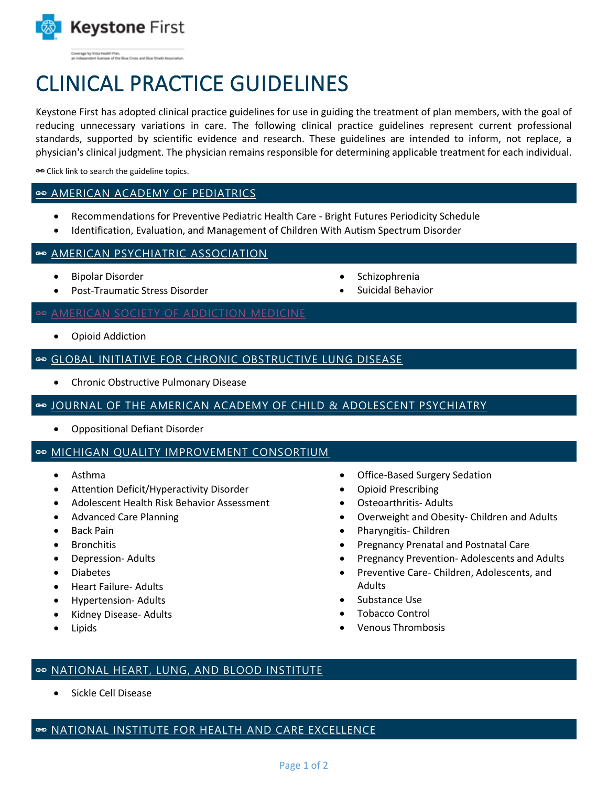

lage by Visita Health Plan,<br>lependent licensee of the Blue Cross and Blue Shield Associa

# CLINICAL PRACTICE GUIDELINES

Keystone First has adopted clinical practice guidelines for use in guiding the treatment of plan members, with the goal of reducing unnecessary variations in care. The following clinical practice guidelines represent current professional standards, supported by scientific evidence and research. These guidelines are intended to inform, not replace, a physician's clinical judgment. The physician remains responsible for determining applicable treatment for each individual.

Click link to search the guideline topics.

### [AMERICAN ACADEMY OF](https://www.aap.org/) PEDIATRICS

- Recommendations for Preventive Pediatric Health Care Bright Futures Periodicity Schedule
- Identification, Evaluation, and Management of Children With Autism Spectrum Disorder

#### $\Rightarrow$  **[AMERICAN PSYCHIATRIC](https://www.psychiatry.org/psychiatrists/practice/clinical-practice-guidelines) ASSOCIATION**

- Bipolar Disorder
- Post-Traumatic Stress Disorder

#### **[AMERICAN SOCIETY OF ADDICTION MEDICINE](https://www.asam.org/quality-care/clinical-guidelines/national-practice-guideline)**

Opioid Addiction

## [GLOBAL INITIATIVE FOR CHRONIC OBSTRUCTIVE LUNG DISEASE](https://goldcopd.org/)

Chronic Obstructive Pulmonary Disease

#### © [JOURNAL OF THE AMERICAN ACADEMY OF CHILD](https://www.jaacap.org/article/S0890-8567(09)61969-9/fulltext) & ADOLESCENT PSYCHIATRY

Oppositional Defiant Disorder

## © [MICHIGAN QUALITY IMPROVEMENT CONSORTIUM](http://mqic.org/guidelines.htm)

- Asthma
- Attention Deficit/Hyperactivity Disorder
- Adolescent Health Risk Behavior Assessment
- Advanced Care Planning
- Back Pain
- Bronchitis
- Depression- Adults
- Diabetes
- Heart Failure- Adults
- Hypertension- Adults
- Kidney Disease- Adults
- Lipids
- Office-Based Surgery Sedation
- Opioid Prescribing

 Schizophrenia Suicidal Behavior

- Osteoarthritis- Adults
- Overweight and Obesity- Children and Adults
- Pharyngitis- Children
- Pregnancy Prenatal and Postnatal Care
- Pregnancy Prevention-Adolescents and Adults
- Preventive Care- Children, Adolescents, and Adults
- Substance Use
- Tobacco Control
- Venous Thrombosis

#### [NATIONAL HEART, LUNG, AND BLOOD INSTITUTE](https://www.nhlbi.nih.gov/health-topics/evidence-based-management-sickle-cell-disease)

Sickle Cell Disease

## © [NATIONAL INSTITUTE FOR HEALTH AND CARE EXCELLENCE](https://www.nice.org.uk/guidance/CG113)